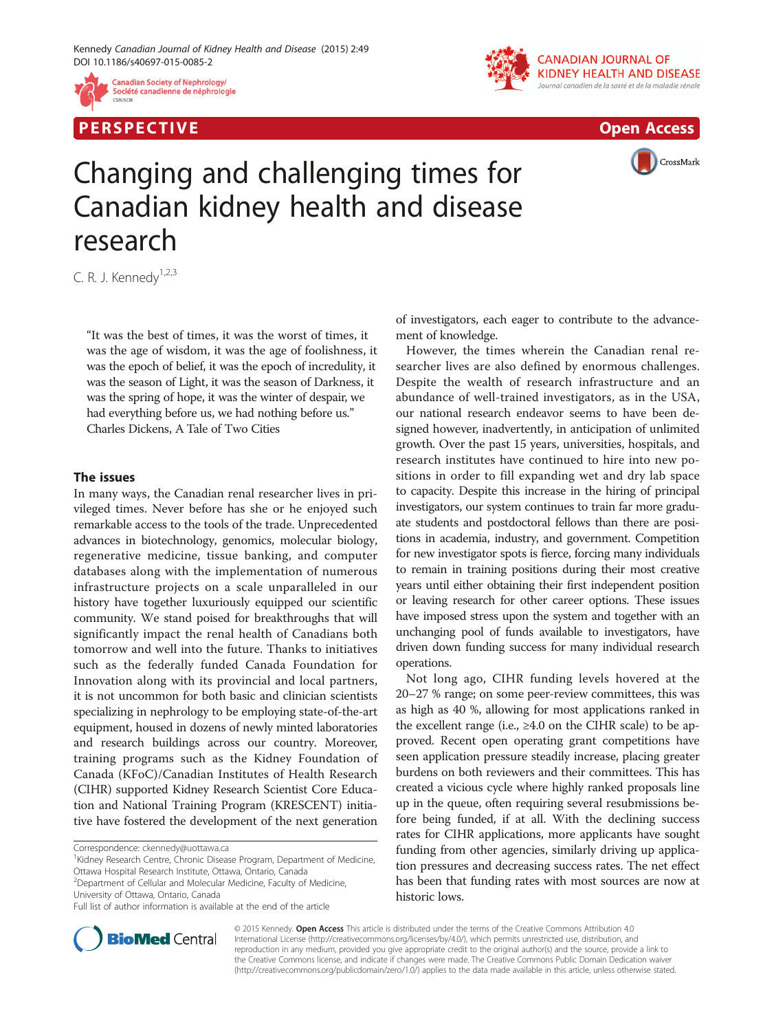



P E R S P E C TIV E Open Access

CrossMark

# Changing and challenging times for Canadian kidney health and disease research

C. R. J. Kennedy $1,2,3$ 

"It was the best of times, it was the worst of times, it was the age of wisdom, it was the age of foolishness, it was the epoch of belief, it was the epoch of incredulity, it was the season of Light, it was the season of Darkness, it was the spring of hope, it was the winter of despair, we had everything before us, we had nothing before us." Charles Dickens, A Tale of Two Cities

# The issues

In many ways, the Canadian renal researcher lives in privileged times. Never before has she or he enjoyed such remarkable access to the tools of the trade. Unprecedented advances in biotechnology, genomics, molecular biology, regenerative medicine, tissue banking, and computer databases along with the implementation of numerous infrastructure projects on a scale unparalleled in our history have together luxuriously equipped our scientific community. We stand poised for breakthroughs that will significantly impact the renal health of Canadians both tomorrow and well into the future. Thanks to initiatives such as the federally funded Canada Foundation for Innovation along with its provincial and local partners, it is not uncommon for both basic and clinician scientists specializing in nephrology to be employing state-of-the-art equipment, housed in dozens of newly minted laboratories and research buildings across our country. Moreover, training programs such as the Kidney Foundation of Canada (KFoC)/Canadian Institutes of Health Research (CIHR) supported Kidney Research Scientist Core Education and National Training Program (KRESCENT) initiative have fostered the development of the next generation

<sup>1</sup> Kidney Research Centre, Chronic Disease Program, Department of Medicine, Ottawa Hospital Research Institute, Ottawa, Ontario, Canada

<sup>2</sup> Department of Cellular and Molecular Medicine, Faculty of Medicine, University of Ottawa, Ontario, Canada

Full list of author information is available at the end of the article

of investigators, each eager to contribute to the advancement of knowledge.

However, the times wherein the Canadian renal researcher lives are also defined by enormous challenges. Despite the wealth of research infrastructure and an abundance of well-trained investigators, as in the USA, our national research endeavor seems to have been designed however, inadvertently, in anticipation of unlimited growth. Over the past 15 years, universities, hospitals, and research institutes have continued to hire into new positions in order to fill expanding wet and dry lab space to capacity. Despite this increase in the hiring of principal investigators, our system continues to train far more graduate students and postdoctoral fellows than there are positions in academia, industry, and government. Competition for new investigator spots is fierce, forcing many individuals to remain in training positions during their most creative years until either obtaining their first independent position or leaving research for other career options. These issues have imposed stress upon the system and together with an unchanging pool of funds available to investigators, have driven down funding success for many individual research operations.

Not long ago, CIHR funding levels hovered at the 20–27 % range; on some peer-review committees, this was as high as 40 %, allowing for most applications ranked in the excellent range (i.e.,  $\geq 4.0$  on the CIHR scale) to be approved. Recent open operating grant competitions have seen application pressure steadily increase, placing greater burdens on both reviewers and their committees. This has created a vicious cycle where highly ranked proposals line up in the queue, often requiring several resubmissions before being funded, if at all. With the declining success rates for CIHR applications, more applicants have sought funding from other agencies, similarly driving up application pressures and decreasing success rates. The net effect has been that funding rates with most sources are now at historic lows.



© 2015 Kennedy. Open Access This article is distributed under the terms of the Creative Commons Attribution 4.0 International License [\(http://creativecommons.org/licenses/by/4.0/](http://creativecommons.org/licenses/by/4.0/)), which permits unrestricted use, distribution, and reproduction in any medium, provided you give appropriate credit to the original author(s) and the source, provide a link to the Creative Commons license, and indicate if changes were made. The Creative Commons Public Domain Dedication waiver [\(http://creativecommons.org/publicdomain/zero/1.0/](http://creativecommons.org/publicdomain/zero/1.0/)) applies to the data made available in this article, unless otherwise stated.

Correspondence: [ckennedy@uottawa.ca](mailto:ckennedy@uottawa.ca) <sup>1</sup>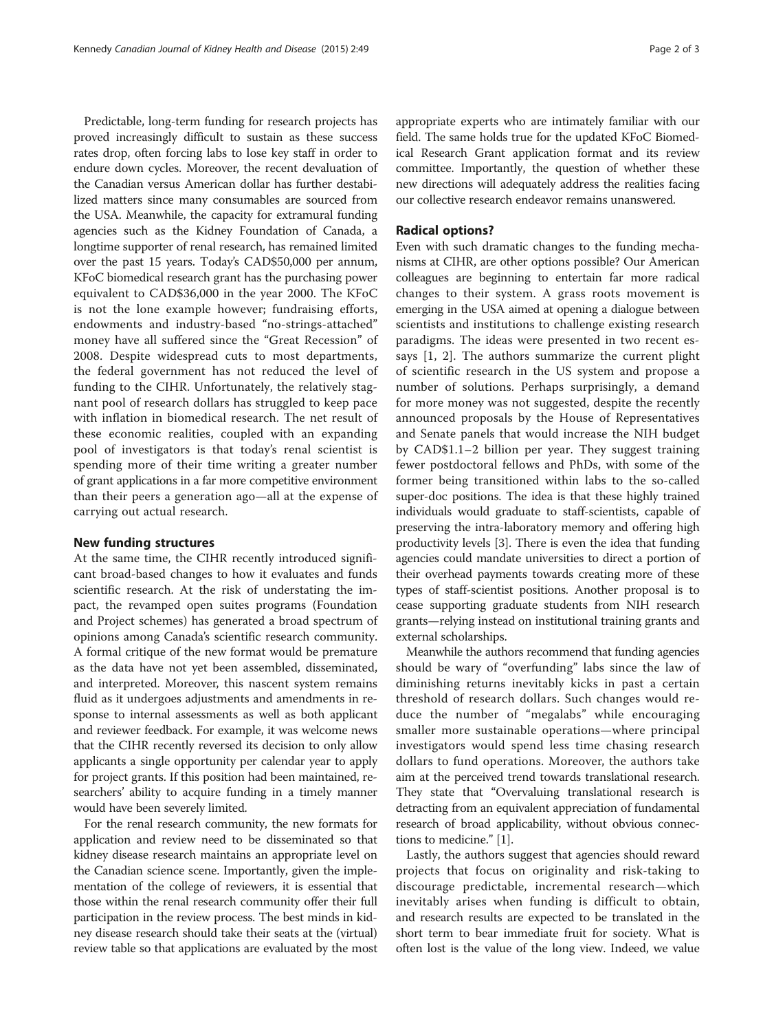Predictable, long-term funding for research projects has proved increasingly difficult to sustain as these success rates drop, often forcing labs to lose key staff in order to endure down cycles. Moreover, the recent devaluation of the Canadian versus American dollar has further destabilized matters since many consumables are sourced from the USA. Meanwhile, the capacity for extramural funding agencies such as the Kidney Foundation of Canada, a longtime supporter of renal research, has remained limited over the past 15 years. Today's CAD\$50,000 per annum, KFoC biomedical research grant has the purchasing power equivalent to CAD\$36,000 in the year 2000. The KFoC is not the lone example however; fundraising efforts, endowments and industry-based "no-strings-attached" money have all suffered since the "Great Recession" of 2008. Despite widespread cuts to most departments, the federal government has not reduced the level of funding to the CIHR. Unfortunately, the relatively stagnant pool of research dollars has struggled to keep pace with inflation in biomedical research. The net result of these economic realities, coupled with an expanding pool of investigators is that today's renal scientist is spending more of their time writing a greater number of grant applications in a far more competitive environment than their peers a generation ago—all at the expense of carrying out actual research.

# New funding structures

At the same time, the CIHR recently introduced significant broad-based changes to how it evaluates and funds scientific research. At the risk of understating the impact, the revamped open suites programs (Foundation and Project schemes) has generated a broad spectrum of opinions among Canada's scientific research community. A formal critique of the new format would be premature as the data have not yet been assembled, disseminated, and interpreted. Moreover, this nascent system remains fluid as it undergoes adjustments and amendments in response to internal assessments as well as both applicant and reviewer feedback. For example, it was welcome news that the CIHR recently reversed its decision to only allow applicants a single opportunity per calendar year to apply for project grants. If this position had been maintained, researchers' ability to acquire funding in a timely manner would have been severely limited.

For the renal research community, the new formats for application and review need to be disseminated so that kidney disease research maintains an appropriate level on the Canadian science scene. Importantly, given the implementation of the college of reviewers, it is essential that those within the renal research community offer their full participation in the review process. The best minds in kidney disease research should take their seats at the (virtual) review table so that applications are evaluated by the most

# Radical options?

Even with such dramatic changes to the funding mechanisms at CIHR, are other options possible? Our American colleagues are beginning to entertain far more radical changes to their system. A grass roots movement is emerging in the USA aimed at opening a dialogue between scientists and institutions to challenge existing research paradigms. The ideas were presented in two recent essays [[1](#page-2-0), [2\]](#page-2-0). The authors summarize the current plight of scientific research in the US system and propose a number of solutions. Perhaps surprisingly, a demand for more money was not suggested, despite the recently announced proposals by the House of Representatives and Senate panels that would increase the NIH budget by CAD\$1.1–2 billion per year. They suggest training fewer postdoctoral fellows and PhDs, with some of the former being transitioned within labs to the so-called super-doc positions. The idea is that these highly trained individuals would graduate to staff-scientists, capable of preserving the intra-laboratory memory and offering high productivity levels [[3\]](#page-2-0). There is even the idea that funding agencies could mandate universities to direct a portion of their overhead payments towards creating more of these types of staff-scientist positions. Another proposal is to cease supporting graduate students from NIH research grants—relying instead on institutional training grants and external scholarships.

Meanwhile the authors recommend that funding agencies should be wary of "overfunding" labs since the law of diminishing returns inevitably kicks in past a certain threshold of research dollars. Such changes would reduce the number of "megalabs" while encouraging smaller more sustainable operations—where principal investigators would spend less time chasing research dollars to fund operations. Moreover, the authors take aim at the perceived trend towards translational research. They state that "Overvaluing translational research is detracting from an equivalent appreciation of fundamental research of broad applicability, without obvious connections to medicine." [\[1](#page-2-0)].

Lastly, the authors suggest that agencies should reward projects that focus on originality and risk-taking to discourage predictable, incremental research—which inevitably arises when funding is difficult to obtain, and research results are expected to be translated in the short term to bear immediate fruit for society. What is often lost is the value of the long view. Indeed, we value